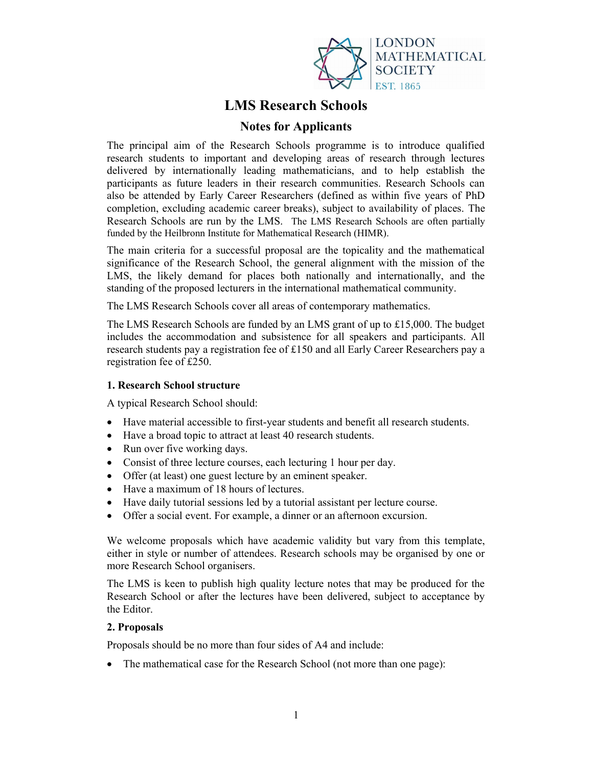

# LMS Research Schools

## Notes for Applicants

The principal aim of the Research Schools programme is to introduce qualified research students to important and developing areas of research through lectures delivered by internationally leading mathematicians, and to help establish the participants as future leaders in their research communities. Research Schools can also be attended by Early Career Researchers (defined as within five years of PhD completion, excluding academic career breaks), subject to availability of places. The Research Schools are run by the LMS. The LMS Research Schools are often partially funded by the Heilbronn Institute for Mathematical Research (HIMR).

The main criteria for a successful proposal are the topicality and the mathematical significance of the Research School, the general alignment with the mission of the LMS, the likely demand for places both nationally and internationally, and the standing of the proposed lecturers in the international mathematical community.

The LMS Research Schools cover all areas of contemporary mathematics.

The LMS Research Schools are funded by an LMS grant of up to £15,000. The budget includes the accommodation and subsistence for all speakers and participants. All research students pay a registration fee of £150 and all Early Career Researchers pay a registration fee of £250.

### 1. Research School structure

A typical Research School should:

- Have material accessible to first-year students and benefit all research students.
- Have a broad topic to attract at least 40 research students.
- Run over five working days.
- Consist of three lecture courses, each lecturing 1 hour per day.
- Offer (at least) one guest lecture by an eminent speaker.
- Have a maximum of 18 hours of lectures.
- Have daily tutorial sessions led by a tutorial assistant per lecture course.
- Offer a social event. For example, a dinner or an afternoon excursion.

We welcome proposals which have academic validity but vary from this template, either in style or number of attendees. Research schools may be organised by one or more Research School organisers.

The LMS is keen to publish high quality lecture notes that may be produced for the Research School or after the lectures have been delivered, subject to acceptance by the Editor.

### 2. Proposals

Proposals should be no more than four sides of A4 and include:

• The mathematical case for the Research School (not more than one page):